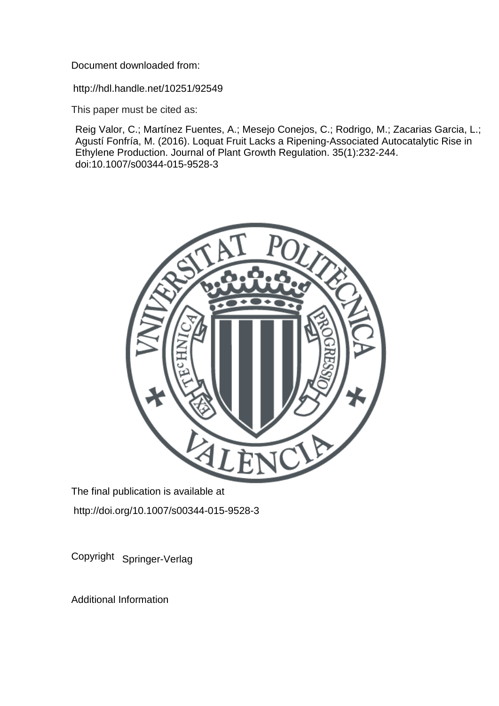Document downloaded from:

http://hdl.handle.net/10251/92549

This paper must be cited as:

Reig Valor, C.; Martínez Fuentes, A.; Mesejo Conejos, C.; Rodrigo, M.; Zacarias Garcia, L.; Agustí Fonfría, M. (2016). Loquat Fruit Lacks a Ripening-Associated Autocatalytic Rise in Ethylene Production. Journal of Plant Growth Regulation. 35(1):232-244. doi:10.1007/s00344-015-9528-3



The final publication is available at http://doi.org/10.1007/s00344-015-9528-3

Copyright Springer-Verlag

Additional Information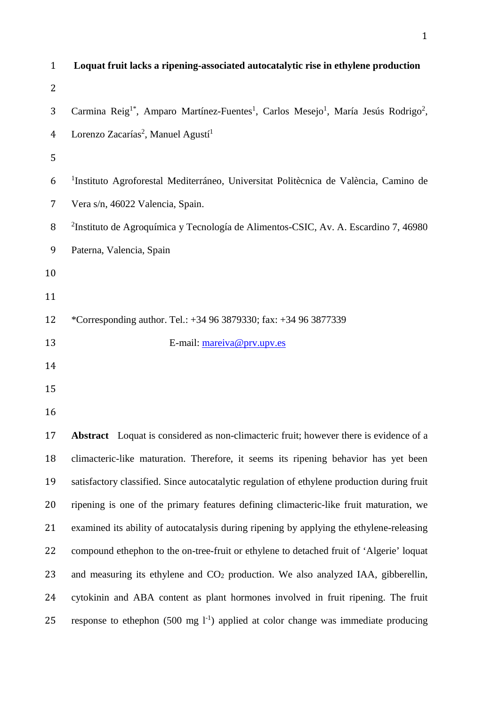| $\mathbf{1}$   | Loquat fruit lacks a ripening-associated autocatalytic rise in ethylene production                                                  |
|----------------|-------------------------------------------------------------------------------------------------------------------------------------|
| $\overline{2}$ |                                                                                                                                     |
| 3              | Carmina Reig <sup>1*</sup> , Amparo Martínez-Fuentes <sup>1</sup> , Carlos Mesejo <sup>1</sup> , María Jesús Rodrigo <sup>2</sup> , |
| $\overline{4}$ | Lorenzo Zacarías <sup>2</sup> , Manuel Agustí <sup>1</sup>                                                                          |
| 5              |                                                                                                                                     |
| 6              | <sup>1</sup> Instituto Agroforestal Mediterráneo, Universitat Politècnica de València, Camino de                                    |
| 7              | Vera s/n, 46022 Valencia, Spain.                                                                                                    |
| 8              | <sup>2</sup> Instituto de Agroquímica y Tecnología de Alimentos-CSIC, Av. A. Escardino 7, 46980                                     |
| 9              | Paterna, Valencia, Spain                                                                                                            |
| 10             |                                                                                                                                     |
| 11             |                                                                                                                                     |
| 12             | *Corresponding author. Tel.: +34 96 3879330; fax: +34 96 3877339                                                                    |
| 13             | E-mail: mareiva@prv.upv.es                                                                                                          |
| 14             |                                                                                                                                     |
| 15             |                                                                                                                                     |
| 16             |                                                                                                                                     |
| 17             | <b>Abstract</b> Loquat is considered as non-climacteric fruit; however there is evidence of a                                       |
| 18             | climacteric-like maturation. Therefore, it seems its ripening behavior has yet been                                                 |
| 19             | satisfactory classified. Since autocatalytic regulation of ethylene production during fruit                                         |
| 20             | ripening is one of the primary features defining climacteric-like fruit maturation, we                                              |
| 21             | examined its ability of autocatalysis during ripening by applying the ethylene-releasing                                            |
| 22             | compound ethephon to the on-tree-fruit or ethylene to detached fruit of 'Algerie' loquat                                            |
| 23             | and measuring its ethylene and $CO2$ production. We also analyzed IAA, gibberellin,                                                 |
| 24             | cytokinin and ABA content as plant hormones involved in fruit ripening. The fruit                                                   |
| 25             | response to ethephon (500 mg $1^{-1}$ ) applied at color change was immediate producing                                             |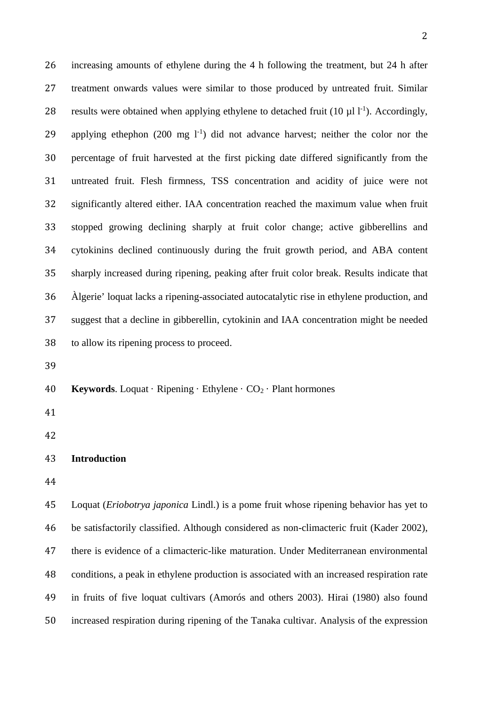increasing amounts of ethylene during the 4 h following the treatment, but 24 h after treatment onwards values were similar to those produced by untreated fruit. Similar 28 results were obtained when applying ethylene to detached fruit  $(10 \mu 1)^{-1}$ ). Accordingly, 29 applying ethephon  $(200 \text{ mg } l^{-1})$  did not advance harvest; neither the color nor the percentage of fruit harvested at the first picking date differed significantly from the untreated fruit. Flesh firmness, TSS concentration and acidity of juice were not significantly altered either. IAA concentration reached the maximum value when fruit stopped growing declining sharply at fruit color change; active gibberellins and cytokinins declined continuously during the fruit growth period, and ABA content sharply increased during ripening, peaking after fruit color break. Results indicate that Àlgerie' loquat lacks a ripening-associated autocatalytic rise in ethylene production, and suggest that a decline in gibberellin, cytokinin and IAA concentration might be needed to allow its ripening process to proceed. **Keywords**. Loquat · Ripening · Ethylene · CO2 · Plant hormones **Introduction** Loquat (*Eriobotrya japonica* Lindl.) is a pome fruit whose ripening behavior has yet to be satisfactorily classified. Although considered as non-climacteric fruit (Kader 2002), there is evidence of a climacteric-like maturation. Under Mediterranean environmental conditions, a peak in ethylene production is associated with an increased respiration rate in fruits of five loquat cultivars (Amorós and others 2003). Hirai (1980) also found

increased respiration during ripening of the Tanaka cultivar. Analysis of the expression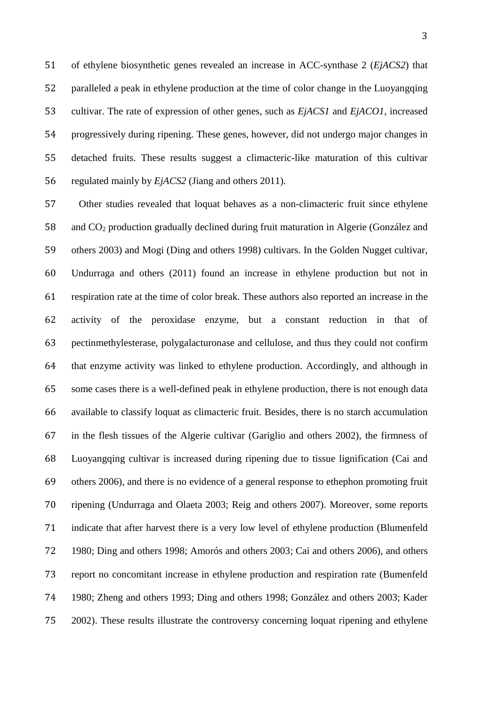of ethylene biosynthetic genes revealed an increase in ACC-synthase 2 (*EjACS2*) that paralleled a peak in ethylene production at the time of color change in the Luoyangqing cultivar. The rate of expression of other genes, such as *EjACS1* and *EjACO1*, increased progressively during ripening. These genes, however, did not undergo major changes in detached fruits. These results suggest a climacteric-like maturation of this cultivar regulated mainly by *EjACS2* (Jiang and others 2011)*.*

 Other studies revealed that loquat behaves as a non-climacteric fruit since ethylene and CO2 production gradually declined during fruit maturation in Algerie (González and others 2003) and Mogi (Ding and others 1998) cultivars. In the Golden Nugget cultivar, Undurraga and others (2011) found an increase in ethylene production but not in respiration rate at the time of color break. These authors also reported an increase in the activity of the peroxidase enzyme, but a constant reduction in that of pectinmethylesterase, polygalacturonase and cellulose, and thus they could not confirm that enzyme activity was linked to ethylene production. Accordingly, and although in some cases there is a well-defined peak in ethylene production, there is not enough data available to classify loquat as climacteric fruit. Besides, there is no starch accumulation in the flesh tissues of the Algerie cultivar (Gariglio and others 2002), the firmness of Luoyangqing cultivar is increased during ripening due to tissue lignification (Cai and others 2006), and there is no evidence of a general response to ethephon promoting fruit ripening (Undurraga and Olaeta 2003; Reig and others 2007). Moreover, some reports indicate that after harvest there is a very low level of ethylene production (Blumenfeld 1980; Ding and others 1998; Amorós and others 2003; Cai and others 2006), and others report no concomitant increase in ethylene production and respiration rate (Bumenfeld 1980; Zheng and others 1993; Ding and others 1998; González and others 2003; Kader 2002). These results illustrate the controversy concerning loquat ripening and ethylene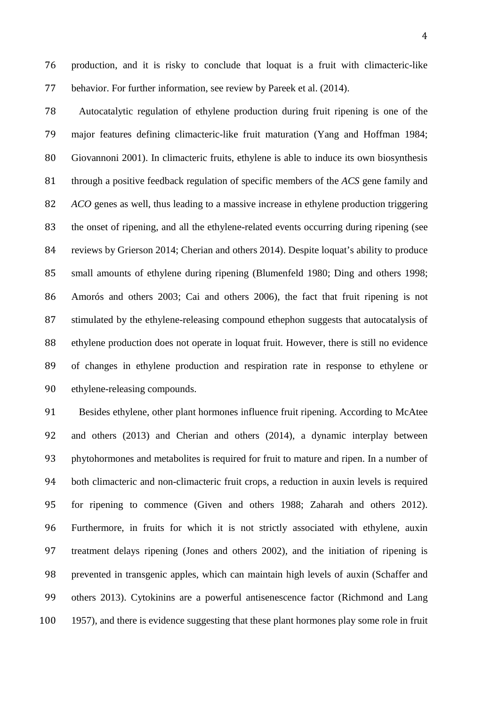production, and it is risky to conclude that loquat is a fruit with climacteric-like behavior. For further information, see review by Pareek et al. (2014).

 Autocatalytic regulation of ethylene production during fruit ripening is one of the major features defining climacteric-like fruit maturation (Yang and Hoffman 1984; Giovannoni 2001). In climacteric fruits, ethylene is able to induce its own biosynthesis through a positive feedback regulation of specific members of the *ACS* gene family and *ACO* genes as well, thus leading to a massive increase in ethylene production triggering the onset of ripening, and all the ethylene-related events occurring during ripening (see reviews by Grierson 2014; Cherian and others 2014). Despite loquat's ability to produce small amounts of ethylene during ripening (Blumenfeld 1980; Ding and others 1998; Amorós and others 2003; Cai and others 2006), the fact that fruit ripening is not stimulated by the ethylene-releasing compound ethephon suggests that autocatalysis of ethylene production does not operate in loquat fruit. However, there is still no evidence of changes in ethylene production and respiration rate in response to ethylene or ethylene-releasing compounds.

 Besides ethylene, other plant hormones influence fruit ripening. According to McAtee and others (2013) and Cherian and others (2014), a dynamic interplay between phytohormones and metabolites is required for fruit to mature and ripen. In a number of both climacteric and non-climacteric fruit crops, a reduction in auxin levels is required for ripening to commence (Given and others 1988; Zaharah and others 2012). Furthermore, in fruits for which it is not strictly associated with ethylene, auxin treatment delays ripening (Jones and others 2002), and the initiation of ripening is prevented in transgenic apples, which can maintain high levels of auxin (Schaffer and others 2013). Cytokinins are a powerful antisenescence factor (Richmond and Lang 100 1957), and there is evidence suggesting that these plant hormones play some role in fruit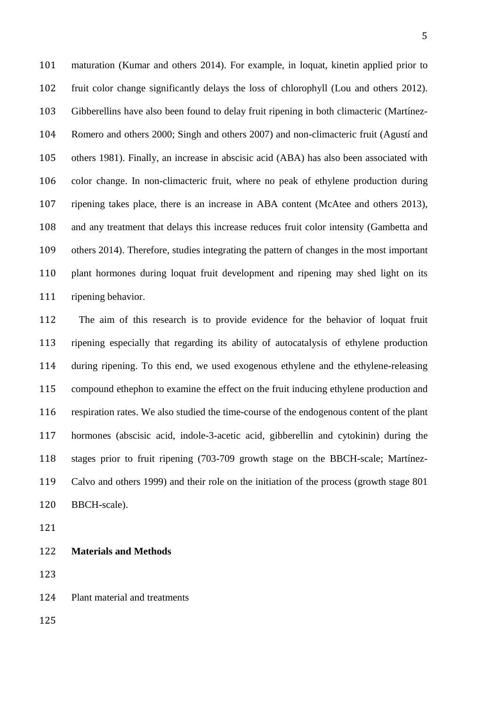maturation (Kumar and others 2014). For example, in loquat, kinetin applied prior to fruit color change significantly delays the loss of chlorophyll (Lou and others 2012). Gibberellins have also been found to delay fruit ripening in both climacteric (Martínez- Romero and others 2000; Singh and others 2007) and non-climacteric fruit (Agustí and others 1981). Finally, an increase in abscisic acid (ABA) has also been associated with color change. In non-climacteric fruit, where no peak of ethylene production during ripening takes place, there is an increase in ABA content (McAtee and others 2013), and any treatment that delays this increase reduces fruit color intensity (Gambetta and others 2014). Therefore, studies integrating the pattern of changes in the most important plant hormones during loquat fruit development and ripening may shed light on its ripening behavior.

 The aim of this research is to provide evidence for the behavior of loquat fruit ripening especially that regarding its ability of autocatalysis of ethylene production during ripening. To this end, we used exogenous ethylene and the ethylene-releasing compound ethephon to examine the effect on the fruit inducing ethylene production and respiration rates. We also studied the time-course of the endogenous content of the plant hormones (abscisic acid, indole-3-acetic acid, gibberellin and cytokinin) during the stages prior to fruit ripening (703-709 growth stage on the BBCH-scale; Martínez- Calvo and others 1999) and their role on the initiation of the process (growth stage 801 BBCH-scale).

**Materials and Methods**

Plant material and treatments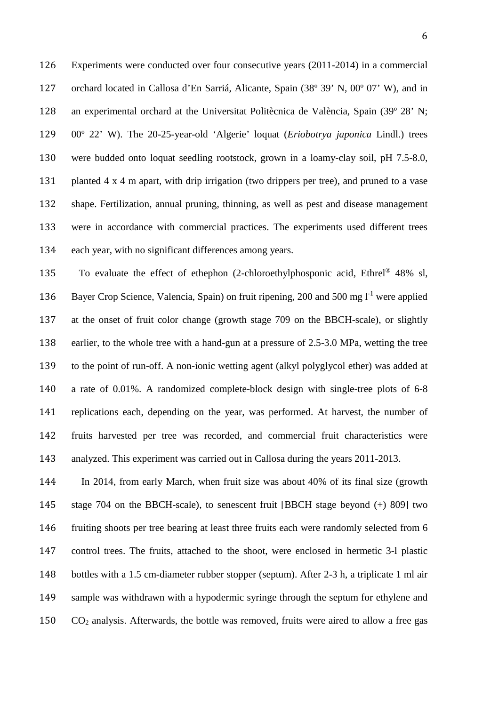Experiments were conducted over four consecutive years (2011-2014) in a commercial orchard located in Callosa d'En Sarriá, Alicante, Spain (38º 39' N, 00º 07' W), and in an experimental orchard at the Universitat Politècnica de València, Spain (39º 28' N; 00º 22' W). The 20-25-year-old 'Algerie' loquat (*Eriobotrya japonica* Lindl.) trees were budded onto loquat seedling rootstock, grown in a loamy-clay soil, pH 7.5-8.0, 131 planted  $4 \times 4$  m apart, with drip irrigation (two drippers per tree), and pruned to a vase shape. Fertilization, annual pruning, thinning, as well as pest and disease management were in accordance with commercial practices. The experiments used different trees each year, with no significant differences among years.

135 To evaluate the effect of ethephon (2-chloroethylphosponic acid, Ethrel<sup>®</sup> 48% sl, 136 Bayer Crop Science, Valencia, Spain) on fruit ripening, 200 and 500 mg  $1<sup>-1</sup>$  were applied at the onset of fruit color change (growth stage 709 on the BBCH-scale), or slightly earlier, to the whole tree with a hand-gun at a pressure of 2.5-3.0 MPa, wetting the tree to the point of run-off. A non-ionic wetting agent (alkyl polyglycol ether) was added at a rate of 0.01%. A randomized complete-block design with single-tree plots of 6-8 replications each, depending on the year, was performed. At harvest, the number of fruits harvested per tree was recorded, and commercial fruit characteristics were analyzed. This experiment was carried out in Callosa during the years 2011-2013.

 In 2014, from early March, when fruit size was about 40% of its final size (growth stage 704 on the BBCH-scale), to senescent fruit [BBCH stage beyond (+) 809] two fruiting shoots per tree bearing at least three fruits each were randomly selected from 6 control trees. The fruits, attached to the shoot, were enclosed in hermetic 3-l plastic bottles with a 1.5 cm-diameter rubber stopper (septum). After 2-3 h, a triplicate 1 ml air sample was withdrawn with a hypodermic syringe through the septum for ethylene and CO2 analysis. Afterwards, the bottle was removed, fruits were aired to allow a free gas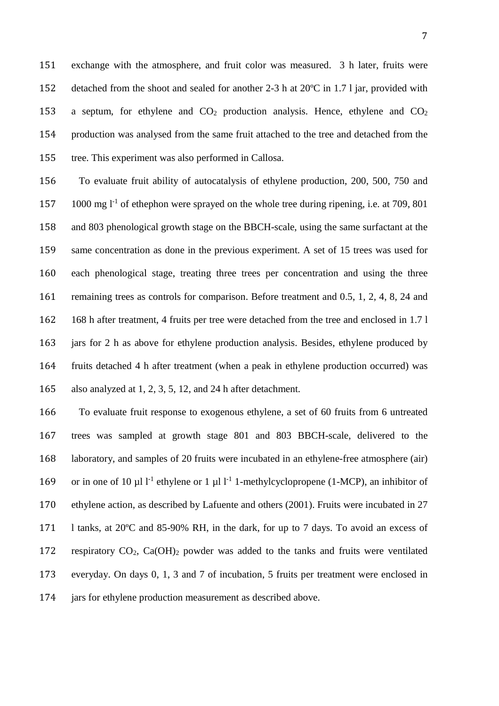exchange with the atmosphere, and fruit color was measured. 3 h later, fruits were detached from the shoot and sealed for another 2-3 h at 20ºC in 1.7 l jar, provided with 153 a septum, for ethylene and  $CO<sub>2</sub>$  production analysis. Hence, ethylene and  $CO<sub>2</sub>$  production was analysed from the same fruit attached to the tree and detached from the tree. This experiment was also performed in Callosa.

 To evaluate fruit ability of autocatalysis of ethylene production, 200, 500, 750 and  $\,$  1000 mg l<sup>-1</sup> of ethephon were sprayed on the whole tree during ripening, i.e. at 709, 801 and 803 phenological growth stage on the BBCH-scale, using the same surfactant at the same concentration as done in the previous experiment. A set of 15 trees was used for each phenological stage, treating three trees per concentration and using the three 161 remaining trees as controls for comparison. Before treatment and 0.5, 1, 2, 4, 8, 24 and 168 h after treatment, 4 fruits per tree were detached from the tree and enclosed in 1.7 l jars for 2 h as above for ethylene production analysis. Besides, ethylene produced by fruits detached 4 h after treatment (when a peak in ethylene production occurred) was also analyzed at 1, 2, 3, 5, 12, and 24 h after detachment.

 To evaluate fruit response to exogenous ethylene, a set of 60 fruits from 6 untreated trees was sampled at growth stage 801 and 803 BBCH-scale, delivered to the laboratory, and samples of 20 fruits were incubated in an ethylene-free atmosphere (air) 169 or in one of 10 µl  $l^{-1}$  ethylene or 1 µl  $l^{-1}$  1-methylcyclopropene (1-MCP), an inhibitor of ethylene action, as described by Lafuente and others (2001). Fruits were incubated in 27 l tanks, at 20ºC and 85-90% RH, in the dark, for up to 7 days. To avoid an excess of respiratory CO2, Ca(OH)2 powder was added to the tanks and fruits were ventilated everyday. On days 0, 1, 3 and 7 of incubation, 5 fruits per treatment were enclosed in jars for ethylene production measurement as described above.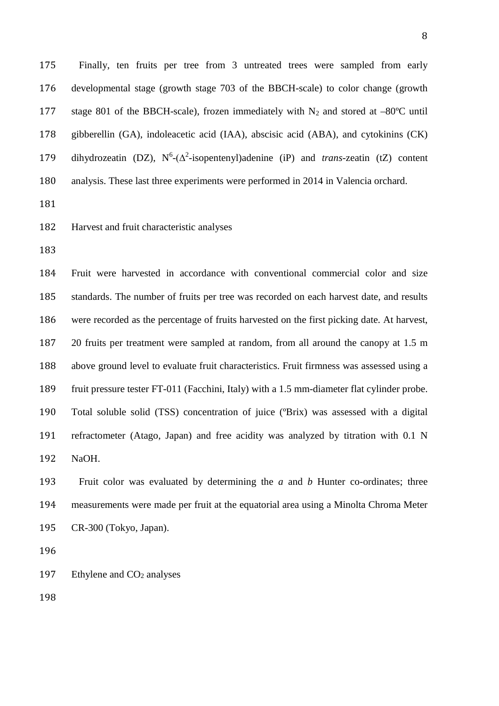Finally, ten fruits per tree from 3 untreated trees were sampled from early developmental stage (growth stage 703 of the BBCH-scale) to color change (growth 177 stage 801 of the BBCH-scale), frozen immediately with  $N_2$  and stored at  $-80^{\circ}$ C until gibberellin (GA), indoleacetic acid (IAA), abscisic acid (ABA), and cytokinins (CK) 179 dihydrozeatin (DZ),  $N^6$ -( $\Delta^2$ -isopentenyl)adenine (iP) and *trans*-zeatin (tZ) content analysis. These last three experiments were performed in 2014 in Valencia orchard.

Harvest and fruit characteristic analyses

 Fruit were harvested in accordance with conventional commercial color and size standards. The number of fruits per tree was recorded on each harvest date, and results were recorded as the percentage of fruits harvested on the first picking date. At harvest, 20 fruits per treatment were sampled at random, from all around the canopy at 1.5 m above ground level to evaluate fruit characteristics. Fruit firmness was assessed using a fruit pressure tester FT-011 (Facchini, Italy) with a 1.5 mm-diameter flat cylinder probe. Total soluble solid (TSS) concentration of juice (ºBrix) was assessed with a digital refractometer (Atago, Japan) and free acidity was analyzed by titration with 0.1 N NaOH.

 Fruit color was evaluated by determining the *a* and *b* Hunter co-ordinates; three measurements were made per fruit at the equatorial area using a Minolta Chroma Meter CR-300 (Tokyo, Japan).

197 Ethylene and  $CO<sub>2</sub>$  analyses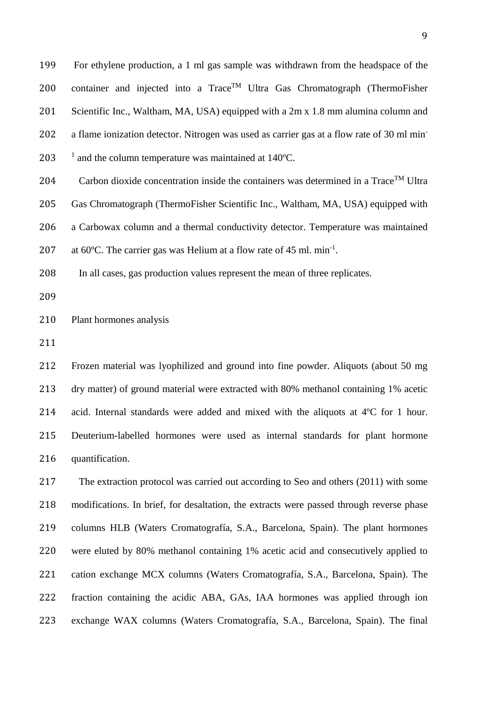For ethylene production, a 1 ml gas sample was withdrawn from the headspace of the 200 container and injected into a  $Trace^{TM}$  Ultra Gas Chromatograph (ThermoFisher Scientific Inc., Waltham, MA, USA) equipped with a 2m x 1.8 mm alumina column and 202 a flame ionization detector. Nitrogen was used as carrier gas at a flow rate of 30 ml min-203  $\frac{1}{2}$  and the column temperature was maintained at 140°C.

204 Carbon dioxide concentration inside the containers was determined in a Trace<sup>TM</sup> Ultra

Gas Chromatograph (ThermoFisher Scientific Inc., Waltham, MA, USA) equipped with

a Carbowax column and a thermal conductivity detector. Temperature was maintained

207 at 60 $^{\circ}$ C. The carrier gas was Helium at a flow rate of 45 ml. min<sup>-1</sup>.

In all cases, gas production values represent the mean of three replicates.

Plant hormones analysis

 Frozen material was lyophilized and ground into fine powder. Aliquots (about 50 mg dry matter) of ground material were extracted with 80% methanol containing 1% acetic acid. Internal standards were added and mixed with the aliquots at 4ºC for 1 hour. Deuterium-labelled hormones were used as internal standards for plant hormone quantification.

 The extraction protocol was carried out according to Seo and others (2011) with some modifications. In brief, for desaltation, the extracts were passed through reverse phase columns HLB (Waters Cromatografía, S.A., Barcelona, Spain). The plant hormones were eluted by 80% methanol containing 1% acetic acid and consecutively applied to cation exchange MCX columns (Waters Cromatografía, S.A., Barcelona, Spain). The fraction containing the acidic ABA, GAs, IAA hormones was applied through ion exchange WAX columns (Waters Cromatografía, S.A., Barcelona, Spain). The final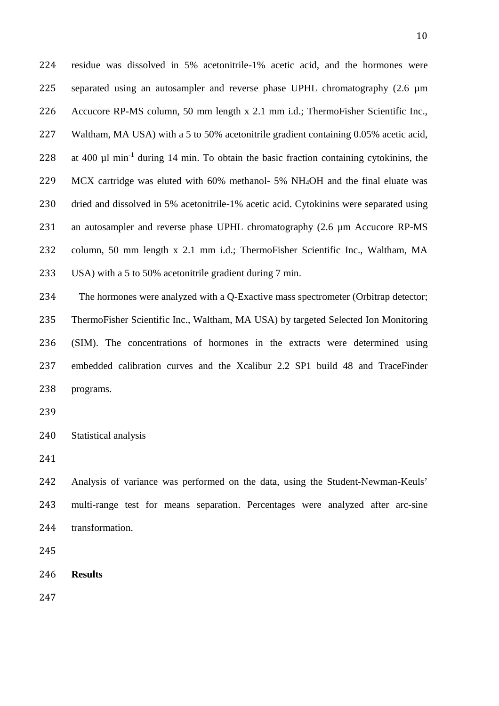residue was dissolved in 5% acetonitrile-1% acetic acid, and the hormones were 225 separated using an autosampler and reverse phase UPHL chromatography (2.6  $\mu$ m Accucore RP-MS column, 50 mm length x 2.1 mm i.d.; ThermoFisher Scientific Inc., Waltham, MA USA) with a 5 to 50% acetonitrile gradient containing 0.05% acetic acid, 228 at 400  $\mu$ l min<sup>-1</sup> during 14 min. To obtain the basic fraction containing cytokinins, the MCX cartridge was eluted with 60% methanol- 5% NH4OH and the final eluate was dried and dissolved in 5% acetonitrile-1% acetic acid. Cytokinins were separated using 231 an autosampler and reverse phase UPHL chromatography (2.6 µm Accucore RP-MS column, 50 mm length x 2.1 mm i.d.; ThermoFisher Scientific Inc., Waltham, MA USA) with a 5 to 50% acetonitrile gradient during 7 min.

 The hormones were analyzed with a Q-Exactive mass spectrometer (Orbitrap detector; ThermoFisher Scientific Inc., Waltham, MA USA) by targeted Selected Ion Monitoring (SIM). The concentrations of hormones in the extracts were determined using embedded calibration curves and the Xcalibur 2.2 SP1 build 48 and TraceFinder programs.

Statistical analysis

 Analysis of variance was performed on the data, using the Student-Newman-Keuls' multi-range test for means separation. Percentages were analyzed after arc-sine transformation.

**Results**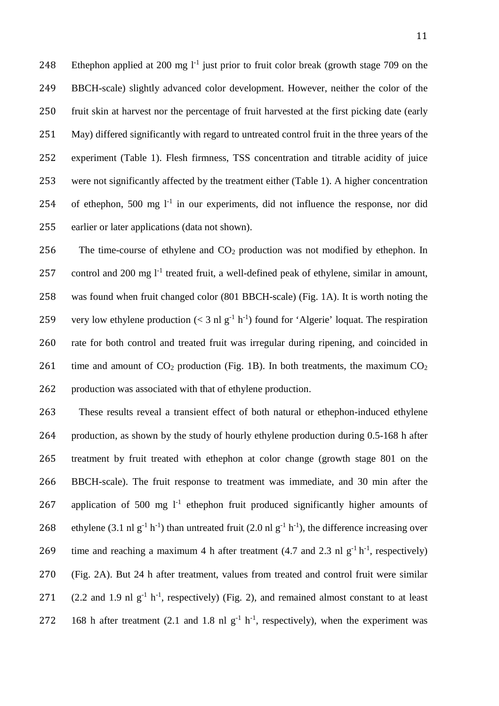248 Ethephon applied at 200 mg  $1^1$  just prior to fruit color break (growth stage 709 on the BBCH-scale) slightly advanced color development. However, neither the color of the fruit skin at harvest nor the percentage of fruit harvested at the first picking date (early May) differed significantly with regard to untreated control fruit in the three years of the experiment (Table 1). Flesh firmness, TSS concentration and titrable acidity of juice were not significantly affected by the treatment either (Table 1). A higher concentration 254 of ethephon, 500 mg  $1<sup>-1</sup>$  in our experiments, did not influence the response, nor did earlier or later applications (data not shown).

 The time-course of ethylene and CO2 production was not modified by ethephon. In 257 control and 200 mg  $l^{-1}$  treated fruit, a well-defined peak of ethylene, similar in amount, was found when fruit changed color (801 BBCH-scale) (Fig. 1A). It is worth noting the 259 very low ethylene production ( $<$  3 nl g<sup>-1</sup> h<sup>-1</sup>) found for 'Algerie' loquat. The respiration rate for both control and treated fruit was irregular during ripening, and coincided in 261 time and amount of  $CO_2$  production (Fig. 1B). In both treatments, the maximum  $CO_2$ production was associated with that of ethylene production.

 These results reveal a transient effect of both natural or ethephon-induced ethylene production, as shown by the study of hourly ethylene production during 0.5-168 h after treatment by fruit treated with ethephon at color change (growth stage 801 on the BBCH-scale). The fruit response to treatment was immediate, and 30 min after the 267 application of 500 mg  $1<sup>-1</sup>$  ethephon fruit produced significantly higher amounts of 268 ethylene (3.1 nl  $g^{-1} h^{-1}$ ) than untreated fruit (2.0 nl  $g^{-1} h^{-1}$ ), the difference increasing over 269 time and reaching a maximum 4 h after treatment (4.7 and 2.3 nl  $g^{-1} h^{-1}$ , respectively) (Fig. 2A). But 24 h after treatment, values from treated and control fruit were similar 271 (2.2 and 1.9 nl  $g^{-1}$  h<sup>-1</sup>, respectively) (Fig. 2), and remained almost constant to at least 272 168 h after treatment (2.1 and 1.8 nl  $g^{-1}$  h<sup>-1</sup>, respectively), when the experiment was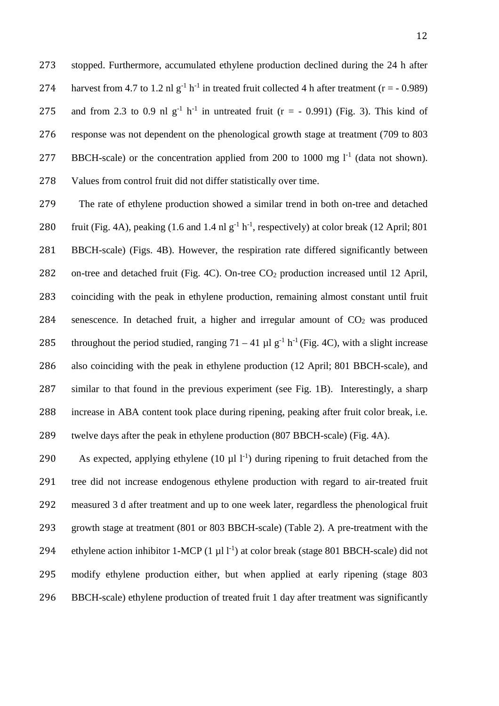stopped. Furthermore, accumulated ethylene production declined during the 24 h after 274 harvest from 4.7 to 1.2 nl  $g^{-1}$  h<sup>-1</sup> in treated fruit collected 4 h after treatment (r = - 0.989) 275 and from 2.3 to 0.9 nl  $g^{-1}$  h<sup>-1</sup> in untreated fruit (r = - 0.991) (Fig. 3). This kind of response was not dependent on the phenological growth stage at treatment (709 to 803 277 BBCH-scale) or the concentration applied from 200 to 1000 mg  $l^{-1}$  (data not shown). Values from control fruit did not differ statistically over time.

 The rate of ethylene production showed a similar trend in both on-tree and detached 280 fruit (Fig. 4A), peaking  $(1.6 \text{ and } 1.4 \text{ nl g}^{-1} \text{ h}^{-1})$ , respectively) at color break  $(12 \text{ April}; 801 \text{ N})$  BBCH-scale) (Figs. 4B). However, the respiration rate differed significantly between 282 on-tree and detached fruit (Fig. 4C). On-tree CO<sub>2</sub> production increased until 12 April, coinciding with the peak in ethylene production, remaining almost constant until fruit 284 senescence. In detached fruit, a higher and irregular amount of  $CO<sub>2</sub>$  was produced 285 throughout the period studied, ranging  $71 - 41 \mu l$  g<sup>-1</sup> h<sup>-1</sup> (Fig. 4C), with a slight increase also coinciding with the peak in ethylene production (12 April; 801 BBCH-scale), and similar to that found in the previous experiment (see Fig. 1B). Interestingly, a sharp increase in ABA content took place during ripening, peaking after fruit color break, i.e. twelve days after the peak in ethylene production (807 BBCH-scale) (Fig. 4A).

290 As expected, applying ethylene  $(10 \mu l)^{-1}$  during ripening to fruit detached from the tree did not increase endogenous ethylene production with regard to air-treated fruit measured 3 d after treatment and up to one week later, regardless the phenological fruit growth stage at treatment (801 or 803 BBCH-scale) (Table 2). A pre-treatment with the 294 ethylene action inhibitor 1-MCP  $(1 \mu 1)^{-1}$  at color break (stage 801 BBCH-scale) did not modify ethylene production either, but when applied at early ripening (stage 803 BBCH-scale) ethylene production of treated fruit 1 day after treatment was significantly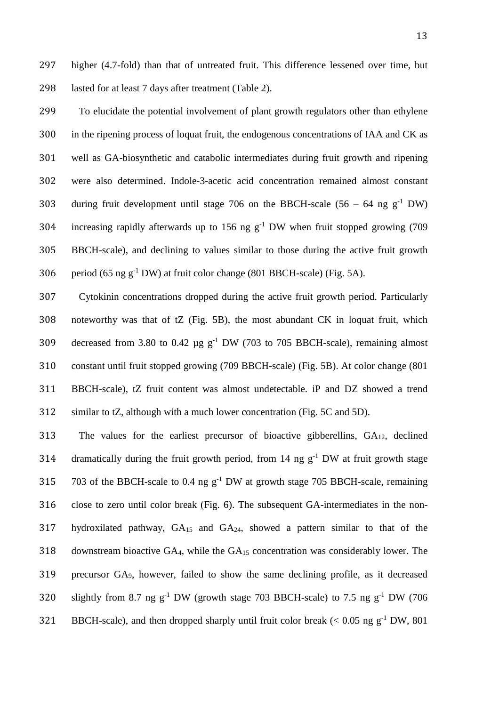To elucidate the potential involvement of plant growth regulators other than ethylene in the ripening process of loquat fruit, the endogenous concentrations of IAA and CK as well as GA-biosynthetic and catabolic intermediates during fruit growth and ripening were also determined. Indole-3-acetic acid concentration remained almost constant 303 during fruit development until stage 706 on the BBCH-scale  $(56 - 64 \text{ ng g}^{-1} \text{ DW})$ 304 increasing rapidly afterwards up to 156 ng  $g^{-1}$  DW when fruit stopped growing (709 BBCH-scale), and declining to values similar to those during the active fruit growth 306 period (65 ng  $g^{-1}$  DW) at fruit color change (801 BBCH-scale) (Fig. 5A).

 Cytokinin concentrations dropped during the active fruit growth period. Particularly noteworthy was that of tZ (Fig. 5B), the most abundant CK in loquat fruit, which 309 decreased from 3.80 to 0.42  $\mu$ g g<sup>-1</sup> DW (703 to 705 BBCH-scale), remaining almost constant until fruit stopped growing (709 BBCH-scale) (Fig. 5B). At color change (801 BBCH-scale), tZ fruit content was almost undetectable. iP and DZ showed a trend similar to tZ, although with a much lower concentration (Fig. 5C and 5D).

 The values for the earliest precursor of bioactive gibberellins, GA12, declined 314 dramatically during the fruit growth period, from 14 ng  $g^{-1}$  DW at fruit growth stage 315 703 of the BBCH-scale to 0.4 ng  $g^{-1}$  DW at growth stage 705 BBCH-scale, remaining close to zero until color break (Fig. 6). The subsequent GA-intermediates in the non-317 hydroxilated pathway,  $GA_{15}$  and  $GA_{24}$ , showed a pattern similar to that of the downstream bioactive GA4, while the GA15 concentration was considerably lower. The precursor GA9, however, failed to show the same declining profile, as it decreased 320 slightly from 8.7 ng  $g^{-1}$  DW (growth stage 703 BBCH-scale) to 7.5 ng  $g^{-1}$  DW (706 321 BBCH-scale), and then dropped sharply until fruit color break  $(< 0.05$  ng g<sup>-1</sup> DW, 801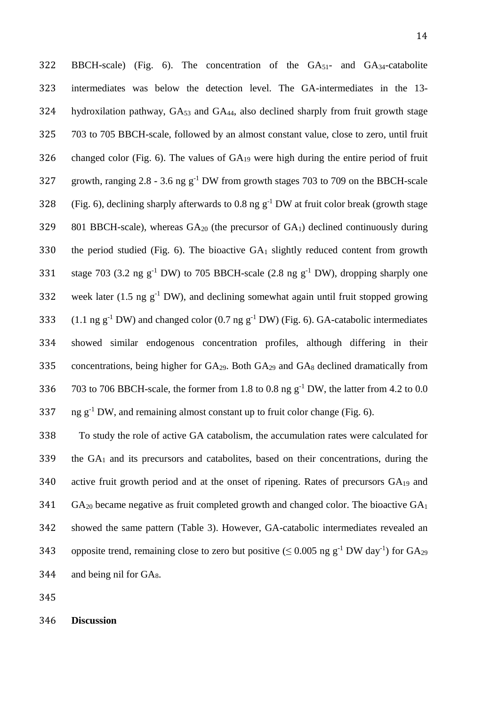322 BBCH-scale) (Fig. 6). The concentration of the GA51- and GA34-catabolite 323 intermediates was below the detection level. The GA-intermediates in the 13- 324 hydroxilation pathway, GA<sub>53</sub> and GA<sub>44</sub>, also declined sharply from fruit growth stage 325 703 to 705 BBCH-scale, followed by an almost constant value, close to zero, until fruit 326 changed color (Fig. 6). The values of  $GA_{19}$  were high during the entire period of fruit 327 growth, ranging  $2.8 - 3.6$  ng g<sup>-1</sup> DW from growth stages 703 to 709 on the BBCH-scale 328 (Fig. 6), declining sharply afterwards to 0.8 ng  $g^{-1}$  DW at fruit color break (growth stage 329 801 BBCH-scale), whereas  $GA_{20}$  (the precursor of  $GA_1$ ) declined continuously during 330 the period studied (Fig. 6). The bioactive  $GA_1$  slightly reduced content from growth 331 stage 703 (3.2 ng  $g^{-1}$  DW) to 705 BBCH-scale (2.8 ng  $g^{-1}$  DW), dropping sharply one 332 week later (1.5 ng  $g^{-1}$  DW), and declining somewhat again until fruit stopped growing 333 (1.1 ng  $g^{-1}$  DW) and changed color (0.7 ng  $g^{-1}$  DW) (Fig. 6). GA-catabolic intermediates 334 showed similar endogenous concentration profiles, although differing in their 335 concentrations, being higher for GA29. Both GA29 and GA8 declined dramatically from 336 703 to 706 BBCH-scale, the former from 1.8 to 0.8 ng  $g^{-1}$  DW, the latter from 4.2 to 0.0 337 ng  $g^{-1}$  DW, and remaining almost constant up to fruit color change (Fig. 6).

 To study the role of active GA catabolism, the accumulation rates were calculated for the GA1 and its precursors and catabolites, based on their concentrations, during the active fruit growth period and at the onset of ripening. Rates of precursors GA19 and GA<sub>20</sub> became negative as fruit completed growth and changed color. The bioactive  $GA<sub>1</sub>$  showed the same pattern (Table 3). However, GA-catabolic intermediates revealed an 343 opposite trend, remaining close to zero but positive ( $\leq 0.005$  ng g<sup>-1</sup> DW day<sup>-1</sup>) for GA<sub>29</sub> 344 and being nil for GAs.

345

346 **Discussion**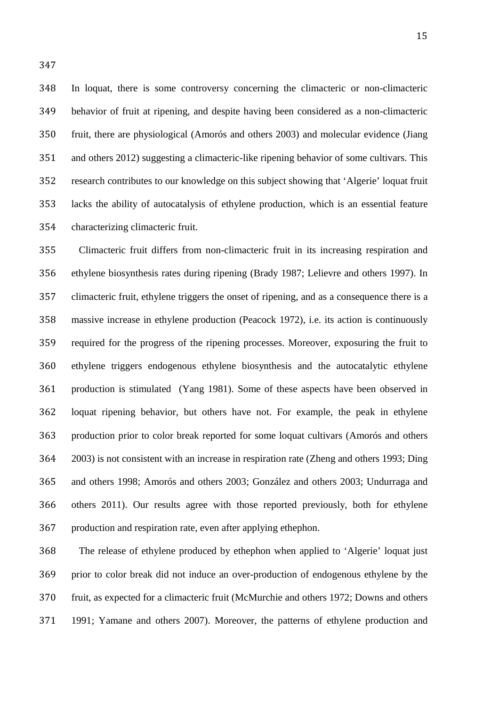In loquat, there is some controversy concerning the climacteric or non-climacteric behavior of fruit at ripening, and despite having been considered as a non-climacteric fruit, there are physiological (Amorós and others 2003) and molecular evidence (Jiang and others 2012) suggesting a climacteric-like ripening behavior of some cultivars. This research contributes to our knowledge on this subject showing that 'Algerie' loquat fruit lacks the ability of autocatalysis of ethylene production, which is an essential feature characterizing climacteric fruit.

 Climacteric fruit differs from non-climacteric fruit in its increasing respiration and ethylene biosynthesis rates during ripening (Brady 1987; Lelievre and others 1997). In climacteric fruit, ethylene triggers the onset of ripening, and as a consequence there is a massive increase in ethylene production (Peacock 1972), i.e. its action is continuously required for the progress of the ripening processes. Moreover, exposuring the fruit to ethylene triggers endogenous ethylene biosynthesis and the autocatalytic ethylene production is stimulated (Yang 1981). Some of these aspects have been observed in loquat ripening behavior, but others have not. For example, the peak in ethylene production prior to color break reported for some loquat cultivars (Amorós and others 2003) is not consistent with an increase in respiration rate (Zheng and others 1993; Ding and others 1998; Amorós and others 2003; González and others 2003; Undurraga and others 2011). Our results agree with those reported previously, both for ethylene production and respiration rate, even after applying ethephon.

 The release of ethylene produced by ethephon when applied to 'Algerie' loquat just prior to color break did not induce an over-production of endogenous ethylene by the fruit, as expected for a climacteric fruit (McMurchie and others 1972; Downs and others 1991; Yamane and others 2007). Moreover, the patterns of ethylene production and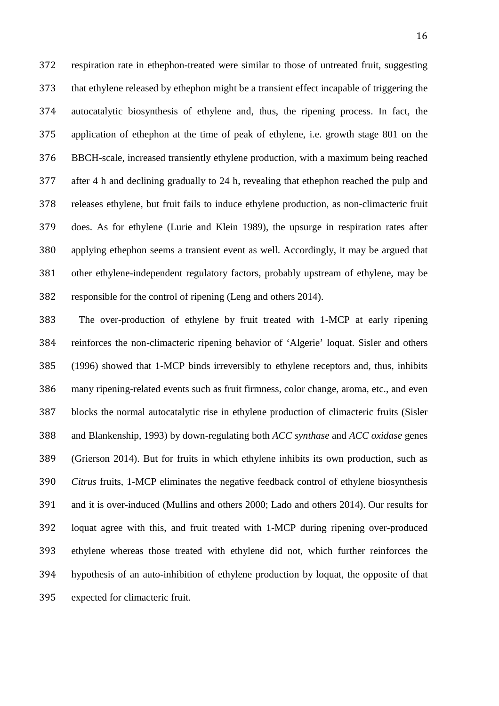respiration rate in ethephon-treated were similar to those of untreated fruit, suggesting that ethylene released by ethephon might be a transient effect incapable of triggering the autocatalytic biosynthesis of ethylene and, thus, the ripening process. In fact, the application of ethephon at the time of peak of ethylene, i.e. growth stage 801 on the BBCH-scale, increased transiently ethylene production, with a maximum being reached after 4 h and declining gradually to 24 h, revealing that ethephon reached the pulp and releases ethylene, but fruit fails to induce ethylene production, as non-climacteric fruit does. As for ethylene (Lurie and Klein 1989), the upsurge in respiration rates after applying ethephon seems a transient event as well. Accordingly, it may be argued that other ethylene-independent regulatory factors, probably upstream of ethylene, may be responsible for the control of ripening (Leng and others 2014).

 The over-production of ethylene by fruit treated with 1-MCP at early ripening reinforces the non-climacteric ripening behavior of 'Algerie' loquat. Sisler and others (1996) showed that 1-MCP binds irreversibly to ethylene receptors and, thus, inhibits many ripening-related events such as fruit firmness, color change, aroma, etc., and even blocks the normal autocatalytic rise in ethylene production of climacteric fruits (Sisler and Blankenship, 1993) by down-regulating both *ACC synthase* and *ACC oxidase* genes (Grierson 2014). But for fruits in which ethylene inhibits its own production, such as *Citrus* fruits, 1-MCP eliminates the negative feedback control of ethylene biosynthesis and it is over-induced (Mullins and others 2000; Lado and others 2014). Our results for loquat agree with this, and fruit treated with 1-MCP during ripening over-produced ethylene whereas those treated with ethylene did not, which further reinforces the hypothesis of an auto-inhibition of ethylene production by loquat, the opposite of that expected for climacteric fruit.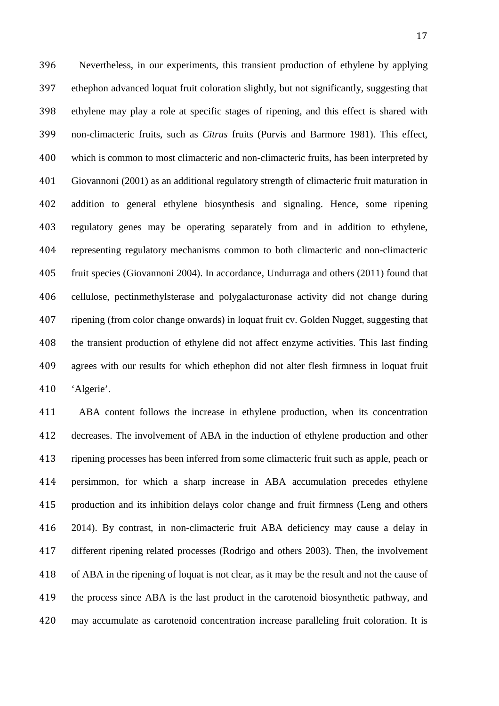Nevertheless, in our experiments, this transient production of ethylene by applying ethephon advanced loquat fruit coloration slightly, but not significantly, suggesting that ethylene may play a role at specific stages of ripening, and this effect is shared with non-climacteric fruits, such as *Citrus* fruits (Purvis and Barmore 1981). This effect, which is common to most climacteric and non-climacteric fruits, has been interpreted by Giovannoni (2001) as an additional regulatory strength of climacteric fruit maturation in addition to general ethylene biosynthesis and signaling. Hence, some ripening regulatory genes may be operating separately from and in addition to ethylene, representing regulatory mechanisms common to both climacteric and non-climacteric fruit species (Giovannoni 2004). In accordance, Undurraga and others (2011) found that cellulose, pectinmethylsterase and polygalacturonase activity did not change during ripening (from color change onwards) in loquat fruit cv. Golden Nugget, suggesting that the transient production of ethylene did not affect enzyme activities. This last finding agrees with our results for which ethephon did not alter flesh firmness in loquat fruit 'Algerie'.

 ABA content follows the increase in ethylene production, when its concentration decreases. The involvement of ABA in the induction of ethylene production and other ripening processes has been inferred from some climacteric fruit such as apple, peach or persimmon, for which a sharp increase in ABA accumulation precedes ethylene production and its inhibition delays color change and fruit firmness (Leng and others 2014). By contrast, in non-climacteric fruit ABA deficiency may cause a delay in different ripening related processes (Rodrigo and others 2003). Then, the involvement of ABA in the ripening of loquat is not clear, as it may be the result and not the cause of the process since ABA is the last product in the carotenoid biosynthetic pathway, and may accumulate as carotenoid concentration increase paralleling fruit coloration. It is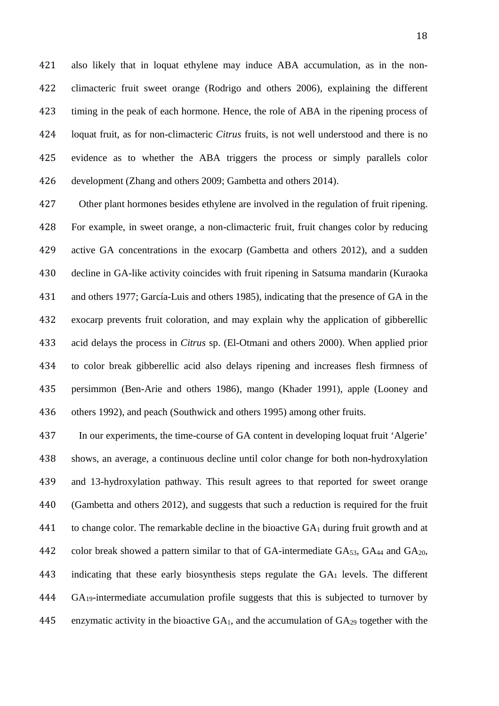also likely that in loquat ethylene may induce ABA accumulation, as in the non- climacteric fruit sweet orange (Rodrigo and others 2006), explaining the different timing in the peak of each hormone. Hence, the role of ABA in the ripening process of loquat fruit, as for non-climacteric *Citrus* fruits, is not well understood and there is no evidence as to whether the ABA triggers the process or simply parallels color development (Zhang and others 2009; Gambetta and others 2014).

 Other plant hormones besides ethylene are involved in the regulation of fruit ripening. For example, in sweet orange, a non-climacteric fruit, fruit changes color by reducing active GA concentrations in the exocarp (Gambetta and others 2012), and a sudden decline in GA-like activity coincides with fruit ripening in Satsuma mandarin (Kuraoka and others 1977; García-Luis and others 1985), indicating that the presence of GA in the exocarp prevents fruit coloration, and may explain why the application of gibberellic acid delays the process in *Citrus* sp. (El-Otmani and others 2000). When applied prior to color break gibberellic acid also delays ripening and increases flesh firmness of persimmon (Ben-Arie and others 1986), mango (Khader 1991), apple (Looney and others 1992), and peach (Southwick and others 1995) among other fruits.

 In our experiments, the time-course of GA content in developing loquat fruit 'Algerie' shows, an average, a continuous decline until color change for both non-hydroxylation and 13-hydroxylation pathway. This result agrees to that reported for sweet orange (Gambetta and others 2012), and suggests that such a reduction is required for the fruit 441 to change color. The remarkable decline in the bioactive  $GA_1$  during fruit growth and at 442 color break showed a pattern similar to that of GA-intermediate  $GA_{53}$ ,  $GA_{44}$  and  $GA_{20}$ , indicating that these early biosynthesis steps regulate the GA1 levels. The different GA19-intermediate accumulation profile suggests that this is subjected to turnover by 445 enzymatic activity in the bioactive  $GA_1$ , and the accumulation of  $GA_{29}$  together with the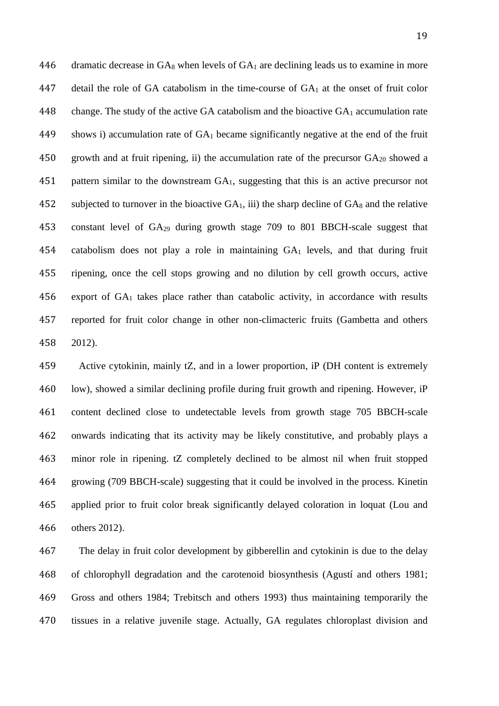dramatic decrease in GA8 when levels of GA1 are declining leads us to examine in more 447 detail the role of GA catabolism in the time-course of  $GA<sub>1</sub>$  at the onset of fruit color change. The study of the active GA catabolism and the bioactive GA1 accumulation rate shows i) accumulation rate of GA1 became significantly negative at the end of the fruit 450 growth and at fruit ripening, ii) the accumulation rate of the precursor  $GA_{20}$  showed a pattern similar to the downstream GA1, suggesting that this is an active precursor not 452 subjected to turnover in the bioactive  $GA_1$ , iii) the sharp decline of  $GA_8$  and the relative constant level of GA29 during growth stage 709 to 801 BBCH-scale suggest that catabolism does not play a role in maintaining GA1 levels, and that during fruit ripening, once the cell stops growing and no dilution by cell growth occurs, active export of GA1 takes place rather than catabolic activity, in accordance with results reported for fruit color change in other non-climacteric fruits (Gambetta and others 2012).

 Active cytokinin, mainly tZ, and in a lower proportion, iP (DH content is extremely low), showed a similar declining profile during fruit growth and ripening. However, iP content declined close to undetectable levels from growth stage 705 BBCH-scale onwards indicating that its activity may be likely constitutive, and probably plays a minor role in ripening. tZ completely declined to be almost nil when fruit stopped growing (709 BBCH-scale) suggesting that it could be involved in the process. Kinetin applied prior to fruit color break significantly delayed coloration in loquat (Lou and others 2012).

 The delay in fruit color development by gibberellin and cytokinin is due to the delay of chlorophyll degradation and the carotenoid biosynthesis (Agustí and others 1981; Gross and others 1984; Trebitsch and others 1993) thus maintaining temporarily the tissues in a relative juvenile stage. Actually, GA regulates chloroplast division and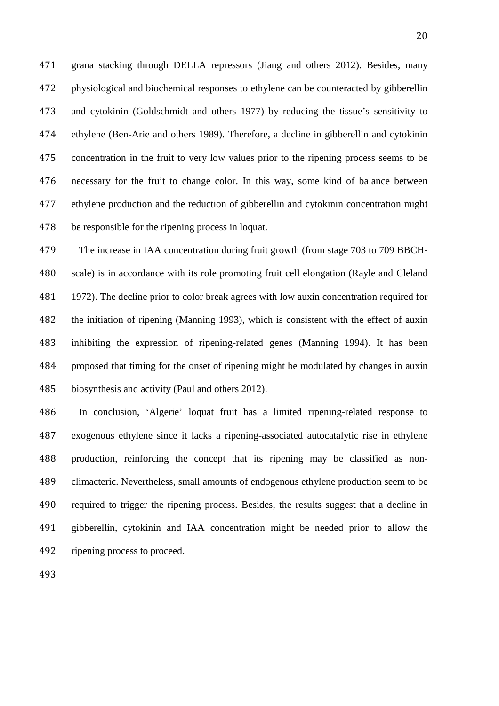grana stacking through DELLA repressors (Jiang and others 2012). Besides, many physiological and biochemical responses to ethylene can be counteracted by gibberellin and cytokinin (Goldschmidt and others 1977) by reducing the tissue's sensitivity to ethylene (Ben-Arie and others 1989). Therefore, a decline in gibberellin and cytokinin concentration in the fruit to very low values prior to the ripening process seems to be necessary for the fruit to change color. In this way, some kind of balance between ethylene production and the reduction of gibberellin and cytokinin concentration might be responsible for the ripening process in loquat.

 The increase in IAA concentration during fruit growth (from stage 703 to 709 BBCH- scale) is in accordance with its role promoting fruit cell elongation (Rayle and Cleland 1972). The decline prior to color break agrees with low auxin concentration required for the initiation of ripening (Manning 1993), which is consistent with the effect of auxin inhibiting the expression of ripening-related genes (Manning 1994). It has been proposed that timing for the onset of ripening might be modulated by changes in auxin biosynthesis and activity (Paul and others 2012).

 In conclusion, 'Algerie' loquat fruit has a limited ripening-related response to exogenous ethylene since it lacks a ripening-associated autocatalytic rise in ethylene production, reinforcing the concept that its ripening may be classified as non- climacteric. Nevertheless, small amounts of endogenous ethylene production seem to be required to trigger the ripening process. Besides, the results suggest that a decline in gibberellin, cytokinin and IAA concentration might be needed prior to allow the ripening process to proceed.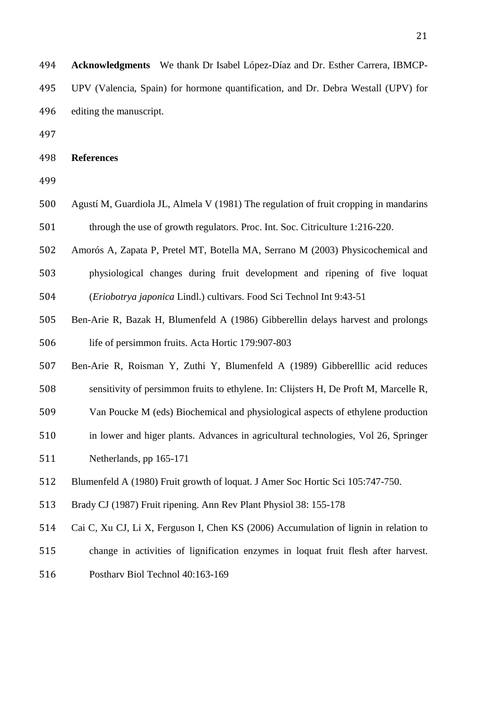| 494 | <b>Acknowledgments</b> We thank Dr Isabel López-Díaz and Dr. Esther Carrera, IBMCP-   |
|-----|---------------------------------------------------------------------------------------|
|     | 495 UPV (Valencia, Spain) for hormone quantification, and Dr. Debra Westall (UPV) for |
|     | 496 editing the manuscript.                                                           |

**References**

 Agustí M, Guardiola JL, Almela V (1981) The regulation of fruit cropping in mandarins through the use of growth regulators. Proc. Int. Soc. Citriculture 1:216-220.

- Amorós A, Zapata P, Pretel MT, Botella MA, Serrano M (2003) Physicochemical and
- physiological changes during fruit development and ripening of five loquat (*Eriobotrya japonica* Lindl.) cultivars. Food Sci Technol Int 9:43-51
- Ben-Arie R, Bazak H, Blumenfeld A (1986) Gibberellin delays harvest and prolongs life of persimmon fruits. Acta Hortic 179:907-803
- Ben-Arie R, Roisman Y, Zuthi Y, Blumenfeld A (1989) Gibberelllic acid reduces
- sensitivity of persimmon fruits to ethylene. In: Clijsters H, De Proft M, Marcelle R,

Van Poucke M (eds) Biochemical and physiological aspects of ethylene production

- in lower and higer plants. Advances in agricultural technologies, Vol 26, Springer
- Netherlands, pp 165-171
- Blumenfeld A (1980) Fruit growth of loquat. J Amer Soc Hortic Sci 105:747-750.
- Brady CJ (1987) Fruit ripening. Ann Rev Plant Physiol 38: 155-178
- Cai C, Xu CJ, Li X, Ferguson I, Chen KS (2006) Accumulation of lignin in relation to
- change in activities of lignification enzymes in loquat fruit flesh after harvest.
- Postharv Biol Technol 40:163-169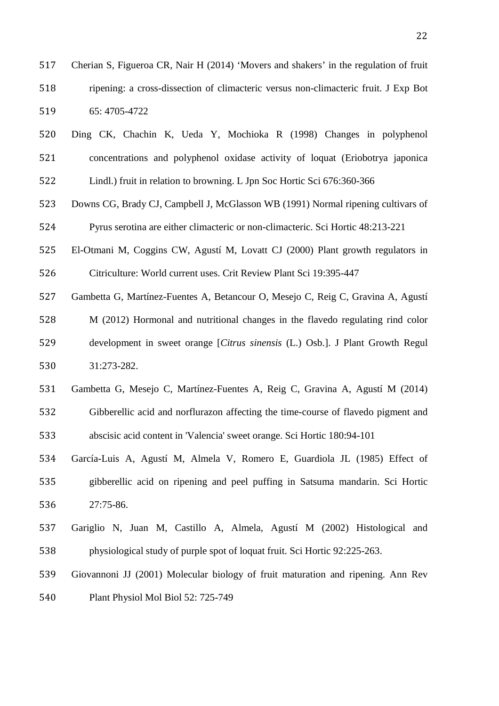Cherian S, Figueroa CR, Nair H (2014) 'Movers and shakers' in the regulation of fruit ripening: a cross-dissection of climacteric versus non-climacteric fruit. J Exp Bot 65: 4705-4722

- Ding CK, Chachin K, Ueda Y, Mochioka R (1998) Changes in polyphenol concentrations and polyphenol oxidase activity of loquat (Eriobotrya japonica Lindl.) fruit in relation to browning. L Jpn Soc Hortic Sci 676:360-366
- Downs CG, Brady CJ, Campbell J, McGlasson WB (1991) Normal ripening cultivars of Pyrus serotina are either climacteric or non-climacteric. Sci Hortic 48:213-221
- El-Otmani M, Coggins CW, Agustí M, Lovatt CJ (2000) Plant growth regulators in

Citriculture: World current uses. Crit Review Plant Sci 19:395-447

- Gambetta G, Martínez-Fuentes A, Betancour O, Mesejo C, Reig C, Gravina A, Agustí
- M (2012) Hormonal and nutritional changes in the flavedo regulating rind color development in sweet orange [*Citrus sinensis* (L.) Osb.]. J Plant Growth Regul 31:273-282.
- Gambetta G, Mesejo C, Martínez-Fuentes A, Reig C, Gravina A, Agustí M (2014)
- Gibberellic acid and norflurazon affecting the time-course of flavedo pigment and abscisic acid content in 'Valencia' sweet orange. Sci Hortic 180:94-101
- García-Luis A, Agustí M, Almela V, Romero E, Guardiola JL (1985) Effect of gibberellic acid on ripening and peel puffing in Satsuma mandarin. Sci Hortic 27:75-86.
- Gariglio N, Juan M, Castillo A, Almela, Agustí M (2002) Histological and physiological study of purple spot of loquat fruit. Sci Hortic 92:225-263.
- Giovannoni JJ (2001) Molecular biology of fruit maturation and ripening. Ann Rev Plant Physiol Mol Biol 52: 725-749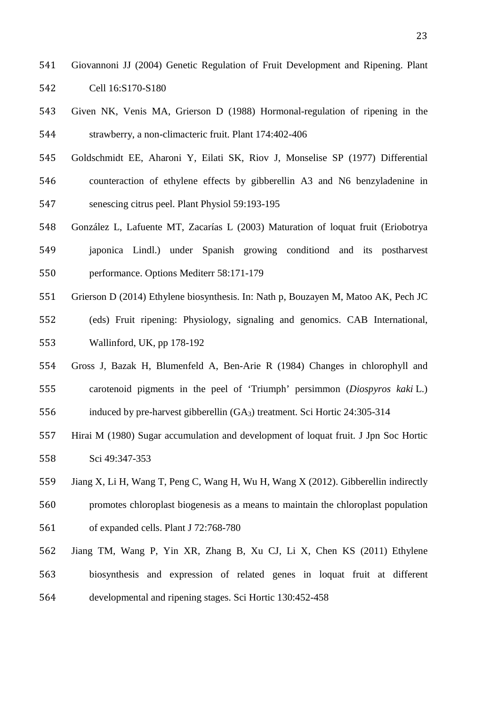- Giovannoni JJ (2004) Genetic Regulation of Fruit Development and Ripening. Plant Cell 16:S170-S180
- Given NK, Venis MA, Grierson D (1988) Hormonal-regulation of ripening in the strawberry, a non-climacteric fruit. Plant 174:402-406
- Goldschmidt EE, Aharoni Y, Eilati SK, Riov J, Monselise SP (1977) Differential counteraction of ethylene effects by gibberellin A3 and N6 benzyladenine in senescing citrus peel. Plant Physiol 59:193-195
- González L, Lafuente MT, Zacarías L (2003) Maturation of loquat fruit (Eriobotrya japonica Lindl.) under Spanish growing conditiond and its postharvest performance. Options Mediterr 58:171-179
- Grierson D (2014) Ethylene biosynthesis. In: Nath p, Bouzayen M, Matoo AK, Pech JC
- (eds) Fruit ripening: Physiology, signaling and genomics. CAB International, Wallinford, UK, pp 178-192
- Gross J, Bazak H, Blumenfeld A, Ben-Arie R (1984) Changes in chlorophyll and carotenoid pigments in the peel of 'Triumph' persimmon (*Diospyros kaki* L.)
- induced by pre-harvest gibberellin (GA3) treatment. Sci Hortic 24:305-314
- Hirai M (1980) Sugar accumulation and development of loquat fruit. J Jpn Soc Hortic Sci 49:347-353
- Jiang X, Li H, Wang T, Peng C, Wang H, Wu H, Wang X (2012). Gibberellin indirectly
- promotes chloroplast biogenesis as a means to maintain the chloroplast population
- of expanded cells. Plant J 72:768-780
- Jiang TM, Wang P, Yin XR, Zhang B, Xu CJ, Li X, Chen KS (2011) [Ethylene](http://www.sciencedirect.com/science/article/pii/S0304423811003773)
- [biosynthesis and expression of related genes in loquat fruit at different](http://www.sciencedirect.com/science/article/pii/S0304423811003773)  [developmental and ripening stages.](http://www.sciencedirect.com/science/article/pii/S0304423811003773) Sci Hortic 130:452-458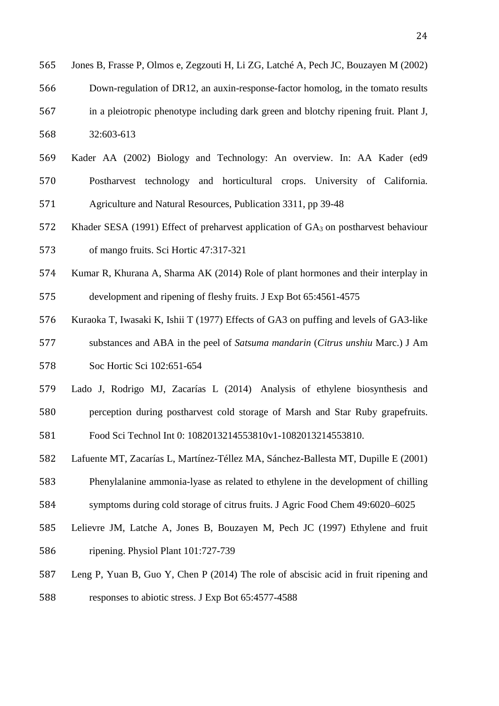- Jones B, Frasse P, Olmos e, Zegzouti H, Li ZG, Latché A, Pech JC, Bouzayen M (2002) Down-regulation of DR12, an auxin-response-factor homolog, in the tomato results in a pleiotropic phenotype including dark green and blotchy ripening fruit. Plant J,
- 32:603-613
- Kader AA (2002) Biology and Technology: An overview. In: AA Kader (ed9 Postharvest technology and horticultural crops. University of California.
- Agriculture and Natural Resources, Publication 3311, pp 39-48
- Khader SESA (1991) Effect of preharvest application of GA3 on postharvest behaviour
- of mango fruits. Sci Hortic 47:317-321
- Kumar R, Khurana A, Sharma AK (2014) Role of plant hormones and their interplay in
- development and ripening of fleshy fruits. J Exp Bot 65:4561-4575
- Kuraoka T, Iwasaki K, Ishii T (1977) Effects of GA3 on puffing and levels of GA3-like substances and ABA in the peel of *Satsuma mandarin* (*Citrus unshiu* Marc.) J Am Soc Hortic Sci 102:651-654
- Lado J, Rodrigo MJ, Zacarías L (2014) Analysis of ethylene biosynthesis and
- perception during postharvest cold storage of Marsh and Star Ruby grapefruits.

Food Sci Technol Int 0: 1082013214553810v1-1082013214553810.

- Lafuente MT, Zacarías L, Martínez-Téllez MA, Sánchez-Ballesta MT, Dupille E (2001)
- Phenylalanine ammonia-lyase as related to ethylene in the development of chilling
- symptoms during cold storage of citrus fruits. J Agric Food Chem 49:6020–6025
- Lelievre JM, Latche A, Jones B, Bouzayen M, Pech JC (1997) Ethylene and fruit
- ripening. Physiol Plant 101:727-739
- Leng P, Yuan B, Guo Y, Chen P (2014) The role of abscisic acid in fruit ripening and responses to abiotic stress. J Exp Bot 65:4577-4588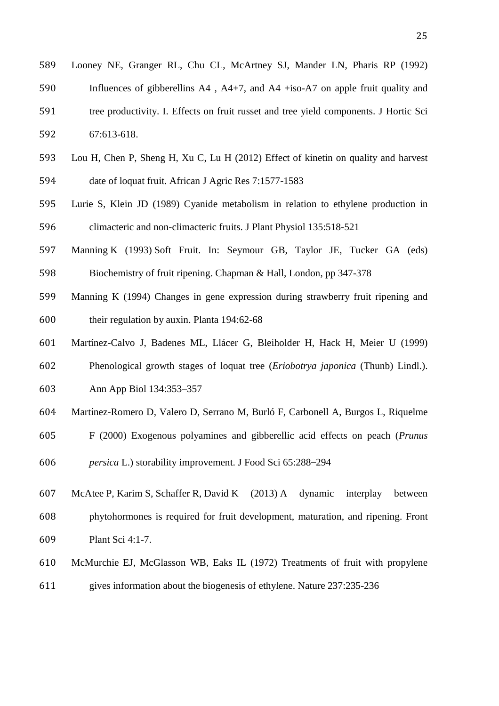| 589 | Looney NE, Granger RL, Chu CL, McArtney SJ, Mander LN, Pharis RP (1992)                   |
|-----|-------------------------------------------------------------------------------------------|
| 590 | Influences of gibberellins $A4$ , $A4+7$ , and $A4$ +iso- $A7$ on apple fruit quality and |
| 591 | tree productivity. I. Effects on fruit russet and tree yield components. J Hortic Sci     |
| 592 | 67:613-618.                                                                               |
|     |                                                                                           |

- Lou H, Chen P, Sheng H, Xu C, Lu H (2012) Effect of kinetin on quality and harvest date of loquat fruit. African J Agric Res 7:1577-1583
- Lurie S, Klein JD (1989) Cyanide metabolism in relation to ethylene production in climacteric and non-climacteric fruits. J Plant Physiol 135:518-521
- Manning K (1993) Soft Fruit. In: Seymour GB, Taylor JE, Tucker GA (eds) Biochemistry of fruit ripening. Chapman & Hall, London, pp 347-378
- Manning K (1994) Changes in gene expression during strawberry fruit ripening and their regulation by auxin. Planta 194:62-68
- Martínez-Calvo J, Badenes ML, Llácer G, Bleiholder H, Hack H, Meier U (1999)
- Phenological growth stages of loquat tree (*Eriobotrya japonica* (Thunb) Lindl.).
- Ann App Biol 134:353–357
- 604 Martínez-Romero D, Valero D, Serrano M, Burló F, Carbonell A, Burgos L, Riquelme
- F (2000) Exogenous polyamines and gibberellic acid effects on peach (*Prunus*
- *persica* L.) storability improvement. J Food Sci 65:288–294
- McAtee P, Karim S, Schaffer R, David K (2013) A dynamic interplay between phytohormones is required for fruit development, maturation, and ripening. Front Plant Sci 4:1-7.
- McMurchie EJ, McGlasson WB, Eaks IL (1972) Treatments of fruit with propylene
- gives information about the biogenesis of ethylene. Nature 237:235-236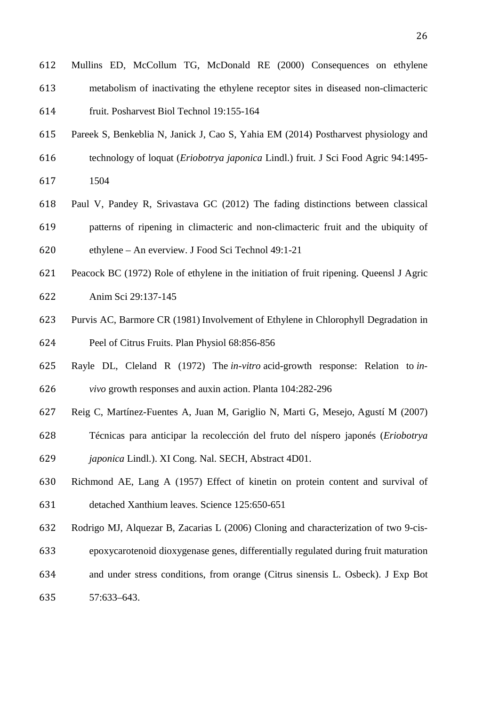Mullins ED, McCollum TG, McDonald RE (2000) Consequences on ethylene metabolism of inactivating the ethylene receptor sites in diseased non-climacteric

fruit. Posharvest Biol Technol 19:155-164

- Pareek S, Benkeblia N, Janick J, Cao S, Yahia EM (2014) Postharvest physiology and
- technology of loquat (*Eriobotrya japonica* Lindl.) fruit. J Sci Food Agric 94:1495-
- 1504
- Paul V, Pandey R, Srivastava GC (2012) The fading distinctions between classical patterns of ripening in climacteric and non-climacteric fruit and the ubiquity of ethylene – An everview. J Food Sci Technol 49:1-21
- Peacock BC (1972) Role of ethylene in the initiation of fruit ripening. Queensl J Agric
- Anim Sci 29:137-145
- Purvis AC, Barmore CR (1981) Involvement of Ethylene in Chlorophyll Degradation in Peel of Citrus Fruits. Plan Physiol 68:856-856
- Rayle DL, Cleland R (1972) The *in-vitro* acid-growth response: Relation to *in-vivo* growth responses and auxin action. Planta 104:282-296
- Reig C, Martínez-Fuentes A, Juan M, Gariglio N, Marti G, Mesejo, Agustí M (2007)
- Técnicas para anticipar la recolección del fruto del níspero japonés (*Eriobotrya*
- *japonica* Lindl.). XI Cong. Nal. SECH, Abstract 4D01.
- Richmond AE, Lang A (1957) Effect of kinetin on protein content and survival of detached Xanthium leaves. Science 125:650-651
- Rodrigo MJ, Alquezar B, Zacarias L (2006) Cloning and characterization of two 9-cis-
- epoxycarotenoid dioxygenase genes, differentially regulated during fruit maturation
- and under stress conditions, from orange (Citrus sinensis L. Osbeck). J Exp Bot

57:633–643.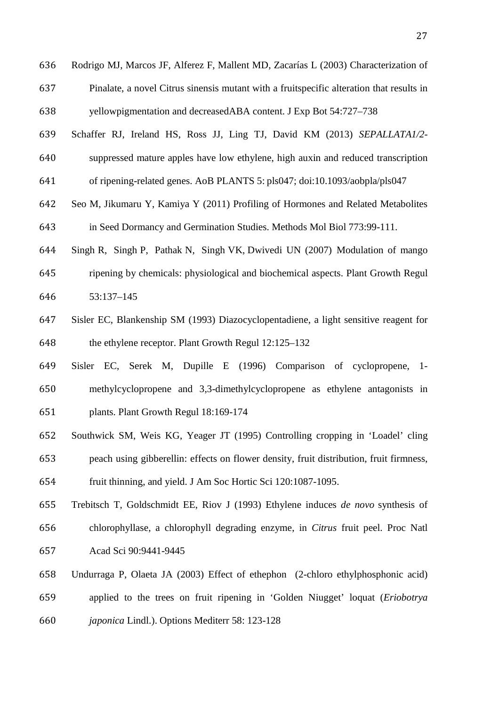- Rodrigo MJ, Marcos JF, Alferez F, Mallent MD, Zacarías L (2003) Characterization of Pinalate, a novel Citrus sinensis mutant with a fruitspecific alteration that results in yellowpigmentation and decreasedABA content. J Exp Bot 54:727–738
- Schaffer RJ, Ireland HS, Ross JJ, Ling TJ, David KM (2013) *SEPALLATA1/2*-
- suppressed mature apples have low ethylene, high auxin and reduced transcription
- of ripening-related genes. AoB PLANTS 5: pls047; doi:10.1093/aobpla/pls047
- Seo M, Jikumaru Y, Kamiya Y (2011) Profiling of Hormones and Related Metabolites in Seed Dormancy and Germination Studies. Methods Mol Biol 773:99-111.
- Singh R, Singh P, Pathak N, Singh VK, Dwivedi UN (2007) Modulation of mango
- ripening by chemicals: physiological and biochemical aspects. Plant Growth Regul 53:137–145
- Sisler EC, Blankenship SM (1993) Diazocyclopentadiene, a light sensitive reagent for the ethylene receptor. Plant Growth Regul 12:125–132
- Sisler EC, Serek M, Dupille E (1996) Comparison of cyclopropene, 1- methylcyclopropene and 3,3-dimethylcyclopropene as ethylene antagonists in plants. Plant Growth Regul 18:169-174
- Southwick SM, Weis KG, Yeager JT (1995) Controlling cropping in 'Loadel' cling peach using gibberellin: effects on flower density, fruit distribution, fruit firmness, fruit thinning, and yield. J Am Soc Hortic Sci 120:1087-1095.
- Trebitsch T, Goldschmidt EE, Riov J (1993) Ethylene induces *de novo* synthesis of chlorophyllase, a chlorophyll degrading enzyme, in *Citrus* fruit peel. Proc Natl Acad Sci 90:9441-9445
- Undurraga P, Olaeta JA (2003) Effect of ethephon (2-chloro ethylphosphonic acid) applied to the trees on fruit ripening in 'Golden Niugget' loquat (*Eriobotrya japonica* Lindl.). Options Mediterr 58: 123-128